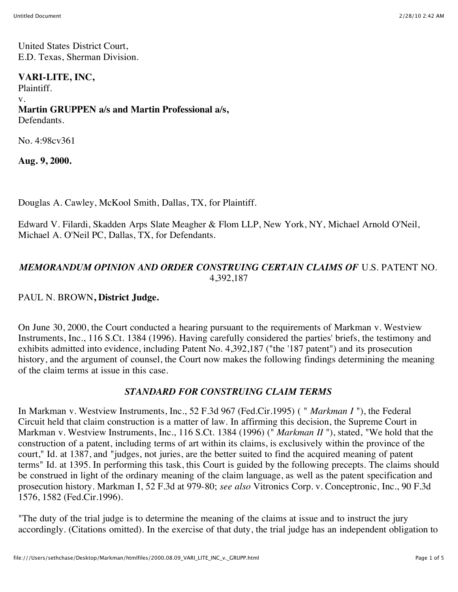United States District Court, E.D. Texas, Sherman Division.

#### **VARI-LITE, INC,**

Plaintiff.

v.

#### **Martin GRUPPEN a/s and Martin Professional a/s,** Defendants.

No. 4:98cv361

**Aug. 9, 2000.**

Douglas A. Cawley, McKool Smith, Dallas, TX, for Plaintiff.

Edward V. Filardi, Skadden Arps Slate Meagher & Flom LLP, New York, NY, Michael Arnold O'Neil, Michael A. O'Neil PC, Dallas, TX, for Defendants.

# *MEMORANDUM OPINION AND ORDER CONSTRUING CERTAIN CLAIMS OF* U.S. PATENT NO. 4,392,187

# PAUL N. BROWN**, District Judge.**

On June 30, 2000, the Court conducted a hearing pursuant to the requirements of Markman v. Westview Instruments, Inc., 116 S.Ct. 1384 (1996). Having carefully considered the parties' briefs, the testimony and exhibits admitted into evidence, including Patent No. 4,392,187 ("the '187 patent") and its prosecution history, and the argument of counsel, the Court now makes the following findings determining the meaning of the claim terms at issue in this case.

# *STANDARD FOR CONSTRUING CLAIM TERMS*

In Markman v. Westview Instruments, Inc., 52 F.3d 967 (Fed.Cir.1995) ( " *Markman I* "), the Federal Circuit held that claim construction is a matter of law. In affirming this decision, the Supreme Court in Markman v. Westview Instruments, Inc., 116 S.Ct. 1384 (1996) (" *Markman II* "), stated, "We hold that the construction of a patent, including terms of art within its claims, is exclusively within the province of the court," Id. at 1387, and "judges, not juries, are the better suited to find the acquired meaning of patent terms" Id. at 1395. In performing this task, this Court is guided by the following precepts. The claims should be construed in light of the ordinary meaning of the claim language, as well as the patent specification and prosecution history. Markman I, 52 F.3d at 979-80; *see also* Vitronics Corp. v. Conceptronic, Inc., 90 F.3d 1576, 1582 (Fed.Cir.1996).

"The duty of the trial judge is to determine the meaning of the claims at issue and to instruct the jury accordingly. (Citations omitted). In the exercise of that duty, the trial judge has an independent obligation to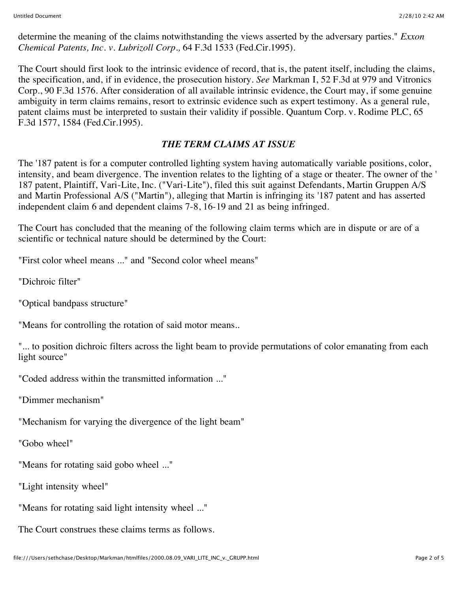determine the meaning of the claims notwithstanding the views asserted by the adversary parties." *Exxon Chemical Patents, Inc. v. Lubrizoll Corp.,* 64 F.3d 1533 (Fed.Cir.1995).

The Court should first look to the intrinsic evidence of record, that is, the patent itself, including the claims, the specification, and, if in evidence, the prosecution history. *See* Markman I, 52 F.3d at 979 and Vitronics Corp., 90 F.3d 1576. After consideration of all available intrinsic evidence, the Court may, if some genuine ambiguity in term claims remains, resort to extrinsic evidence such as expert testimony. As a general rule, patent claims must be interpreted to sustain their validity if possible. Quantum Corp. v. Rodime PLC, 65 F.3d 1577, 1584 (Fed.Cir.1995).

# *THE TERM CLAIMS AT ISSUE*

The '187 patent is for a computer controlled lighting system having automatically variable positions, color, intensity, and beam divergence. The invention relates to the lighting of a stage or theater. The owner of the ' 187 patent, Plaintiff, Vari-Lite, Inc. ("Vari-Lite"), filed this suit against Defendants, Martin Gruppen A/S and Martin Professional A/S ("Martin"), alleging that Martin is infringing its '187 patent and has asserted independent claim 6 and dependent claims 7-8, 16-19 and 21 as being infringed.

The Court has concluded that the meaning of the following claim terms which are in dispute or are of a scientific or technical nature should be determined by the Court:

"First color wheel means ..." and "Second color wheel means"

"Dichroic filter"

"Optical bandpass structure"

"Means for controlling the rotation of said motor means..

"... to position dichroic filters across the light beam to provide permutations of color emanating from each light source"

"Coded address within the transmitted information ..."

"Dimmer mechanism"

"Mechanism for varying the divergence of the light beam"

"Gobo wheel"

"Means for rotating said gobo wheel ..."

"Light intensity wheel"

"Means for rotating said light intensity wheel ..."

The Court construes these claims terms as follows.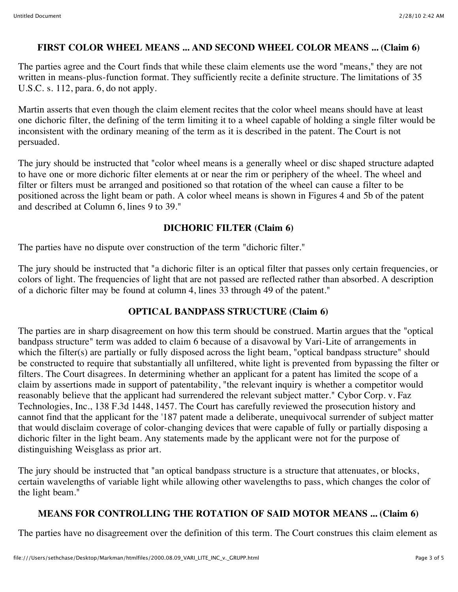#### **FIRST COLOR WHEEL MEANS ... AND SECOND WHEEL COLOR MEANS ... (Claim 6)**

The parties agree and the Court finds that while these claim elements use the word "means," they are not written in means-plus-function format. They sufficiently recite a definite structure. The limitations of 35 U.S.C. s. 112, para. 6, do not apply.

Martin asserts that even though the claim element recites that the color wheel means should have at least one dichoric filter, the defining of the term limiting it to a wheel capable of holding a single filter would be inconsistent with the ordinary meaning of the term as it is described in the patent. The Court is not persuaded.

The jury should be instructed that "color wheel means is a generally wheel or disc shaped structure adapted to have one or more dichoric filter elements at or near the rim or periphery of the wheel. The wheel and filter or filters must be arranged and positioned so that rotation of the wheel can cause a filter to be positioned across the light beam or path. A color wheel means is shown in Figures 4 and 5b of the patent and described at Column 6, lines 9 to 39."

#### **DICHORIC FILTER (Claim 6)**

The parties have no dispute over construction of the term "dichoric filter."

The jury should be instructed that "a dichoric filter is an optical filter that passes only certain frequencies, or colors of light. The frequencies of light that are not passed are reflected rather than absorbed. A description of a dichoric filter may be found at column 4, lines 33 through 49 of the patent."

#### **OPTICAL BANDPASS STRUCTURE (Claim 6)**

The parties are in sharp disagreement on how this term should be construed. Martin argues that the "optical bandpass structure" term was added to claim 6 because of a disavowal by Vari-Lite of arrangements in which the filter(s) are partially or fully disposed across the light beam, "optical bandpass structure" should be constructed to require that substantially all unfiltered, white light is prevented from bypassing the filter or filters. The Court disagrees. In determining whether an applicant for a patent has limited the scope of a claim by assertions made in support of patentability, "the relevant inquiry is whether a competitor would reasonably believe that the applicant had surrendered the relevant subject matter." Cybor Corp. v. Faz Technologies, Inc., 138 F.3d 1448, 1457. The Court has carefully reviewed the prosecution history and cannot find that the applicant for the '187 patent made a deliberate, unequivocal surrender of subject matter that would disclaim coverage of color-changing devices that were capable of fully or partially disposing a dichoric filter in the light beam. Any statements made by the applicant were not for the purpose of distinguishing Weisglass as prior art.

The jury should be instructed that "an optical bandpass structure is a structure that attenuates, or blocks, certain wavelengths of variable light while allowing other wavelengths to pass, which changes the color of the light beam."

# **MEANS FOR CONTROLLING THE ROTATION OF SAID MOTOR MEANS ... (Claim 6)**

The parties have no disagreement over the definition of this term. The Court construes this claim element as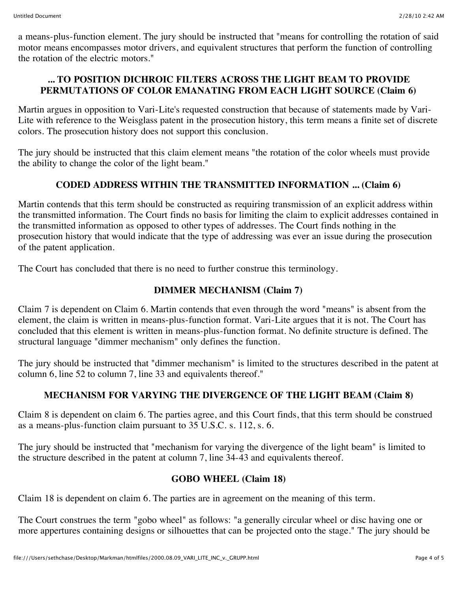a means-plus-function element. The jury should be instructed that "means for controlling the rotation of said motor means encompasses motor drivers, and equivalent structures that perform the function of controlling the rotation of the electric motors."

# **... TO POSITION DICHROIC FILTERS ACROSS THE LIGHT BEAM TO PROVIDE PERMUTATIONS OF COLOR EMANATING FROM EACH LIGHT SOURCE (Claim 6)**

Martin argues in opposition to Vari-Lite's requested construction that because of statements made by Vari-Lite with reference to the Weisglass patent in the prosecution history, this term means a finite set of discrete colors. The prosecution history does not support this conclusion.

The jury should be instructed that this claim element means "the rotation of the color wheels must provide the ability to change the color of the light beam."

# **CODED ADDRESS WITHIN THE TRANSMITTED INFORMATION ... (Claim 6)**

Martin contends that this term should be constructed as requiring transmission of an explicit address within the transmitted information. The Court finds no basis for limiting the claim to explicit addresses contained in the transmitted information as opposed to other types of addresses. The Court finds nothing in the prosecution history that would indicate that the type of addressing was ever an issue during the prosecution of the patent application.

The Court has concluded that there is no need to further construe this terminology.

## **DIMMER MECHANISM (Claim 7)**

Claim 7 is dependent on Claim 6. Martin contends that even through the word "means" is absent from the element, the claim is written in means-plus-function format. Vari-Lite argues that it is not. The Court has concluded that this element is written in means-plus-function format. No definite structure is defined. The structural language "dimmer mechanism" only defines the function.

The jury should be instructed that "dimmer mechanism" is limited to the structures described in the patent at column 6, line 52 to column 7, line 33 and equivalents thereof."

# **MECHANISM FOR VARYING THE DIVERGENCE OF THE LIGHT BEAM (Claim 8)**

Claim 8 is dependent on claim 6. The parties agree, and this Court finds, that this term should be construed as a means-plus-function claim pursuant to 35 U.S.C. s. 112, s. 6.

The jury should be instructed that "mechanism for varying the divergence of the light beam" is limited to the structure described in the patent at column 7, line 34-43 and equivalents thereof.

#### **GOBO WHEEL (Claim 18)**

Claim 18 is dependent on claim 6. The parties are in agreement on the meaning of this term.

The Court construes the term "gobo wheel" as follows: "a generally circular wheel or disc having one or more appertures containing designs or silhouettes that can be projected onto the stage." The jury should be